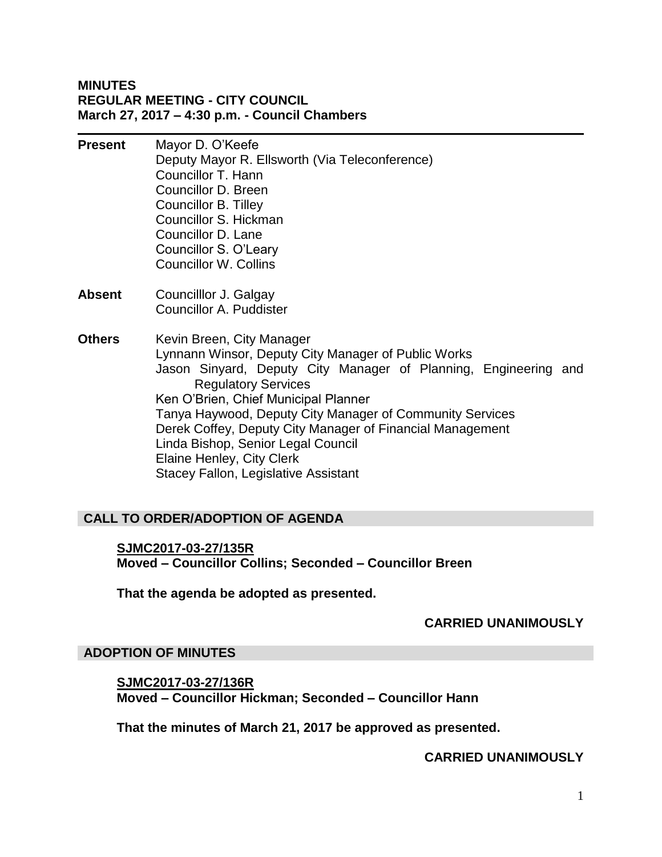## **MINUTES REGULAR MEETING - CITY COUNCIL March 27, 2017 – 4:30 p.m. - Council Chambers**

**Present** Mayor D. O'Keefe Deputy Mayor R. Ellsworth (Via Teleconference) Councillor T. Hann Councillor D. Breen Councillor B. Tilley Councillor S. Hickman Councillor D. Lane Councillor S. O'Leary Councillor W. Collins **Absent** Councilllor J. Galgay Councillor A. Puddister **Others** Kevin Breen, City Manager Lynnann Winsor, Deputy City Manager of Public Works Jason Sinyard, Deputy City Manager of Planning, Engineering and Regulatory Services Ken O'Brien, Chief Municipal Planner Tanya Haywood, Deputy City Manager of Community Services Derek Coffey, Deputy City Manager of Financial Management Linda Bishop, Senior Legal Council Elaine Henley, City Clerk

# Stacey Fallon, Legislative Assistant

# **CALL TO ORDER/ADOPTION OF AGENDA**

**SJMC2017-03-27/135R Moved – Councillor Collins; Seconded – Councillor Breen**

**That the agenda be adopted as presented.**

#### **CARRIED UNANIMOUSLY**

#### **ADOPTION OF MINUTES**

**SJMC2017-03-27/136R Moved – Councillor Hickman; Seconded – Councillor Hann**

**That the minutes of March 21, 2017 be approved as presented.**

#### **CARRIED UNANIMOUSLY**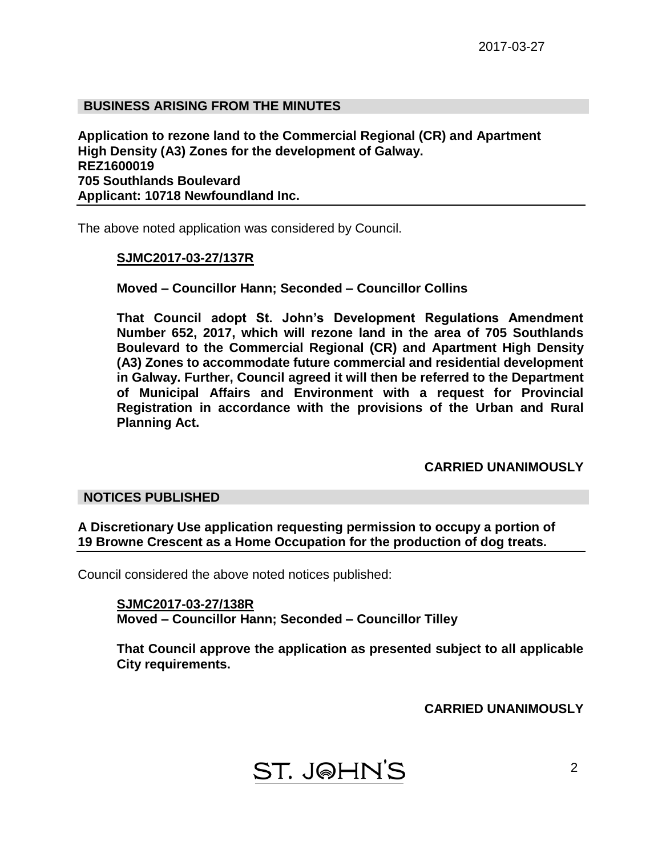# **BUSINESS ARISING FROM THE MINUTES**

**Application to rezone land to the Commercial Regional (CR) and Apartment High Density (A3) Zones for the development of Galway. REZ1600019 705 Southlands Boulevard Applicant: 10718 Newfoundland Inc.**

The above noted application was considered by Council.

#### **SJMC2017-03-27/137R**

**Moved – Councillor Hann; Seconded – Councillor Collins**

**That Council adopt St. John's Development Regulations Amendment Number 652, 2017, which will rezone land in the area of 705 Southlands Boulevard to the Commercial Regional (CR) and Apartment High Density (A3) Zones to accommodate future commercial and residential development in Galway. Further, Council agreed it will then be referred to the Department of Municipal Affairs and Environment with a request for Provincial Registration in accordance with the provisions of the Urban and Rural Planning Act.**

#### **CARRIED UNANIMOUSLY**

#### **NOTICES PUBLISHED**

**A Discretionary Use application requesting permission to occupy a portion of 19 Browne Crescent as a Home Occupation for the production of dog treats.**

Council considered the above noted notices published:

**SJMC2017-03-27/138R Moved – Councillor Hann; Seconded – Councillor Tilley**

**That Council approve the application as presented subject to all applicable City requirements.**

**CARRIED UNANIMOUSLY**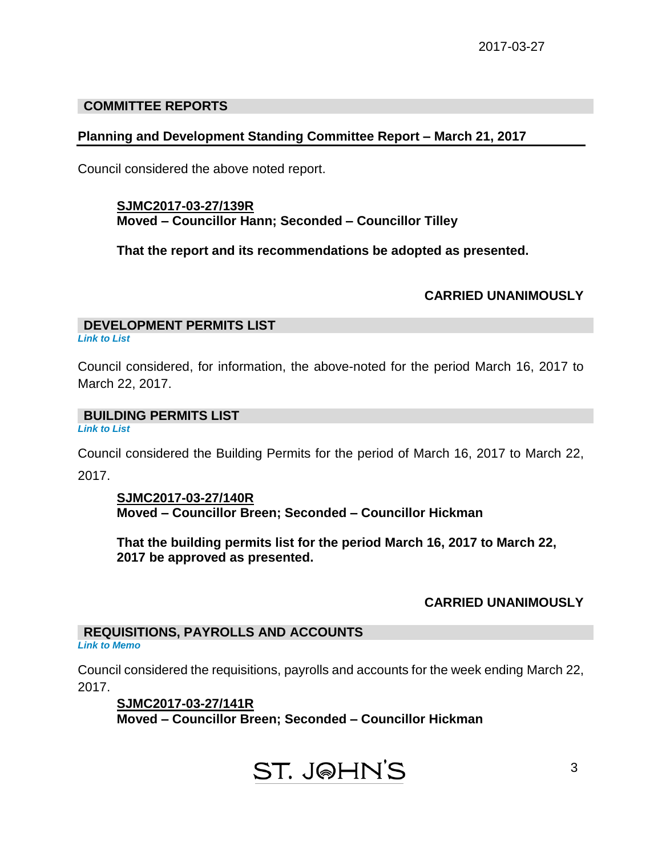# **COMMITTEE REPORTS**

# **Planning and Development Standing Committee Report – March 21, 2017**

Council considered the above noted report.

# **SJMC2017-03-27/139R Moved – Councillor Hann; Seconded – Councillor Tilley**

**That the report and its recommendations be adopted as presented.**

#### **CARRIED UNANIMOUSLY**

# **DEVELOPMENT PERMITS LIST**

*Link to List*

Council considered, for information, the above-noted for the period March 16, 2017 to March 22, 2017.

# **BUILDING PERMITS LIST**

*Link to List*

Council considered the Building Permits for the period of March 16, 2017 to March 22,

2017.

# **SJMC2017-03-27/140R Moved – Councillor Breen; Seconded – Councillor Hickman**

**That the building permits list for the period March 16, 2017 to March 22, 2017 be approved as presented.**

# **CARRIED UNANIMOUSLY**

3

# **REQUISITIONS, PAYROLLS AND ACCOUNTS**

*Link to Memo*

Council considered the requisitions, payrolls and accounts for the week ending March 22, 2017.

**SJMC2017-03-27/141R Moved – Councillor Breen; Seconded – Councillor Hickman**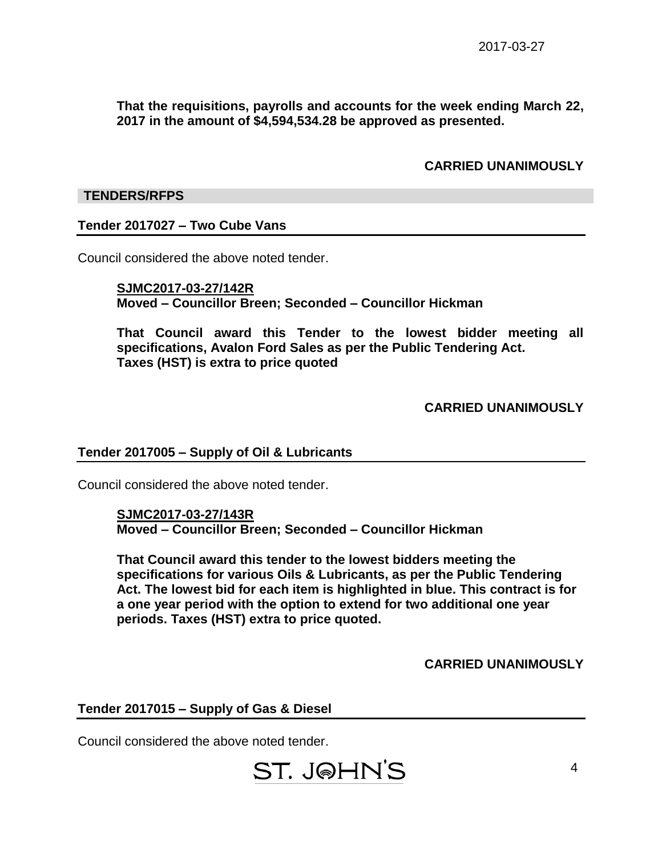**That the requisitions, payrolls and accounts for the week ending March 22, 2017 in the amount of \$4,594,534.28 be approved as presented.**

#### **CARRIED UNANIMOUSLY**

#### **TENDERS/RFPS**

#### **Tender 2017027 – Two Cube Vans**

Council considered the above noted tender.

**SJMC2017-03-27/142R Moved – Councillor Breen; Seconded – Councillor Hickman**

**That Council award this Tender to the lowest bidder meeting all specifications, Avalon Ford Sales as per the Public Tendering Act. Taxes (HST) is extra to price quoted**

#### **CARRIED UNANIMOUSLY**

#### **Tender 2017005 – Supply of Oil & Lubricants**

Council considered the above noted tender.

#### **SJMC2017-03-27/143R Moved – Councillor Breen; Seconded – Councillor Hickman**

**That Council award this tender to the lowest bidders meeting the specifications for various Oils & Lubricants, as per the Public Tendering Act. The lowest bid for each item is highlighted in blue. This contract is for a one year period with the option to extend for two additional one year periods. Taxes (HST) extra to price quoted.**

**CARRIED UNANIMOUSLY**

# **Tender 2017015 – Supply of Gas & Diesel**

Council considered the above noted tender.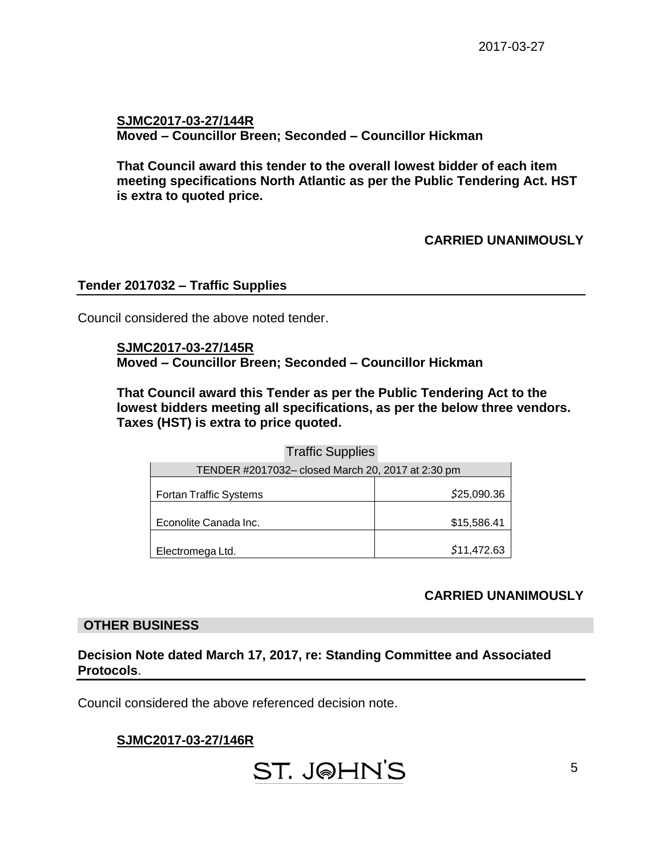**SJMC2017-03-27/144R Moved – Councillor Breen; Seconded – Councillor Hickman**

**That Council award this tender to the overall lowest bidder of each item meeting specifications North Atlantic as per the Public Tendering Act. HST is extra to quoted price.**

# **CARRIED UNANIMOUSLY**

#### **Tender 2017032 – Traffic Supplies**

Council considered the above noted tender.

**SJMC2017-03-27/145R Moved – Councillor Breen; Seconded – Councillor Hickman**

**That Council award this Tender as per the Public Tendering Act to the lowest bidders meeting all specifications, as per the below three vendors. Taxes (HST) is extra to price quoted.**

Traffic Supplies

| TENDER #2017032- closed March 20, 2017 at 2:30 pm |             |
|---------------------------------------------------|-------------|
|                                                   |             |
| <b>Fortan Traffic Systems</b>                     | \$25,090.36 |
|                                                   |             |
| Econolite Canada Inc.                             | \$15,586.41 |
|                                                   |             |
| Electromega Ltd.                                  | \$11,472.63 |

# **CARRIED UNANIMOUSLY**

#### **OTHER BUSINESS**

#### **Decision Note dated March 17, 2017, re: Standing Committee and Associated Protocols**.

Council considered the above referenced decision note.

# **SJMC2017-03-27/146R**

ST. J@HN'S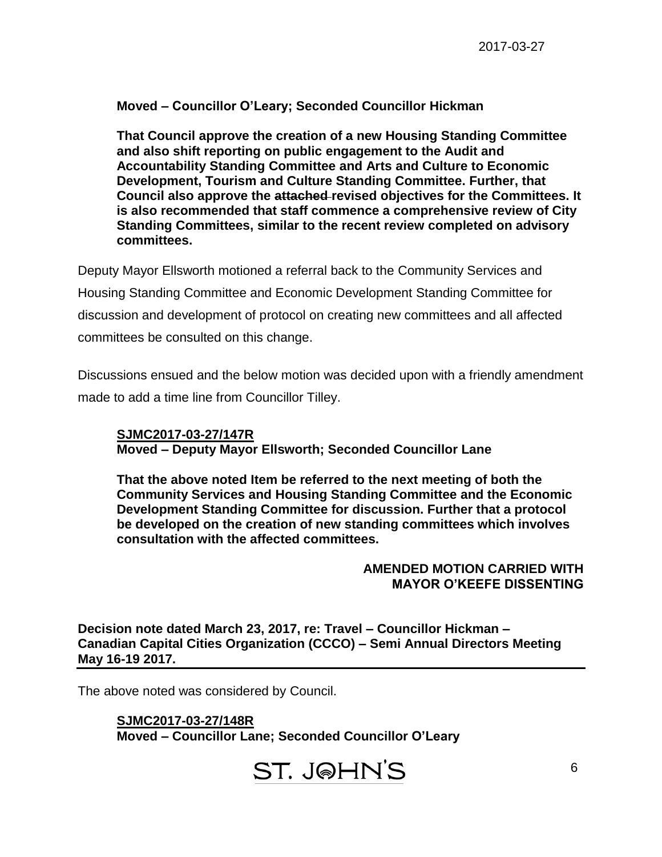# **Moved – Councillor O'Leary; Seconded Councillor Hickman**

**That Council approve the creation of a new Housing Standing Committee and also shift reporting on public engagement to the Audit and Accountability Standing Committee and Arts and Culture to Economic Development, Tourism and Culture Standing Committee. Further, that Council also approve the attached revised objectives for the Committees. It is also recommended that staff commence a comprehensive review of City Standing Committees, similar to the recent review completed on advisory committees.**

Deputy Mayor Ellsworth motioned a referral back to the Community Services and Housing Standing Committee and Economic Development Standing Committee for discussion and development of protocol on creating new committees and all affected committees be consulted on this change.

Discussions ensued and the below motion was decided upon with a friendly amendment made to add a time line from Councillor Tilley.

# **SJMC2017-03-27/147R Moved – Deputy Mayor Ellsworth; Seconded Councillor Lane**

**That the above noted Item be referred to the next meeting of both the Community Services and Housing Standing Committee and the Economic Development Standing Committee for discussion. Further that a protocol be developed on the creation of new standing committees which involves consultation with the affected committees.**

#### **AMENDED MOTION CARRIED WITH MAYOR O'KEEFE DISSENTING**

**Decision note dated March 23, 2017, re: Travel – Councillor Hickman – Canadian Capital Cities Organization (CCCO) – Semi Annual Directors Meeting May 16-19 2017.**

The above noted was considered by Council.

**SJMC2017-03-27/148R Moved – Councillor Lane; Seconded Councillor O'Leary**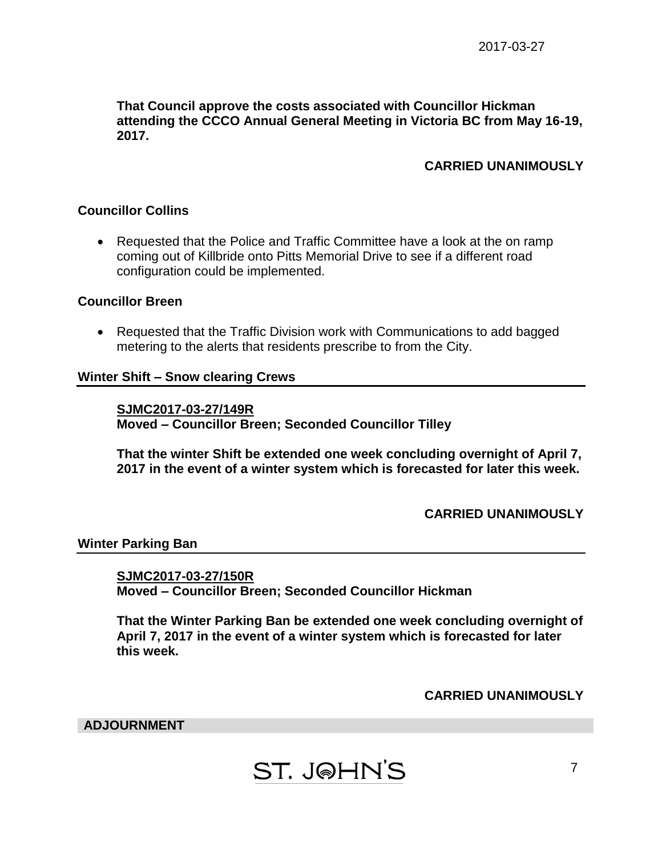**That Council approve the costs associated with Councillor Hickman attending the CCCO Annual General Meeting in Victoria BC from May 16-19, 2017.**

# **CARRIED UNANIMOUSLY**

#### **Councillor Collins**

 Requested that the Police and Traffic Committee have a look at the on ramp coming out of Killbride onto Pitts Memorial Drive to see if a different road configuration could be implemented.

#### **Councillor Breen**

• Requested that the Traffic Division work with Communications to add bagged metering to the alerts that residents prescribe to from the City.

#### **Winter Shift – Snow clearing Crews**

**SJMC2017-03-27/149R Moved – Councillor Breen; Seconded Councillor Tilley**

**That the winter Shift be extended one week concluding overnight of April 7, 2017 in the event of a winter system which is forecasted for later this week.**

#### **CARRIED UNANIMOUSLY**

#### **Winter Parking Ban**

**SJMC2017-03-27/150R Moved – Councillor Breen; Seconded Councillor Hickman**

**That the Winter Parking Ban be extended one week concluding overnight of April 7, 2017 in the event of a winter system which is forecasted for later this week.**

#### **CARRIED UNANIMOUSLY**

**ADJOURNMENT**

# **ST. J@HN'S**